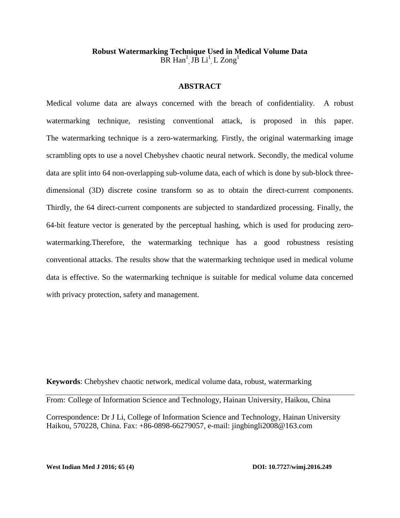# **Robust Watermarking Technique Used in Medical Volume Data**  $\overrightarrow{BR}$  Han<sup>1</sup>, J $\overrightarrow{B}$  Li<sup>1</sup>, L Zong<sup>1</sup>

# **ABSTRACT**

Medical volume data are always concerned with the breach of confidentiality. A robust watermarking technique, resisting conventional attack, is proposed in this paper. The watermarking technique is a zero-watermarking. Firstly, the original watermarking image scrambling opts to use a novel Chebyshev chaotic neural network. Secondly, the medical volume data are split into 64 non-overlapping sub-volume data, each of which is done by sub-block threedimensional (3D) discrete cosine transform so as to obtain the direct-current components. Thirdly, the 64 direct-current components are subjected to standardized processing. Finally, the 64-bit feature vector is generated by the perceptual hashing, which is used for producing zerowatermarking.Therefore, the watermarking technique has a good robustness resisting conventional attacks. The results show that the watermarking technique used in medical volume data is effective. So the watermarking technique is suitable for medical volume data concerned with privacy protection, safety and management.

**Keywords**: Chebyshev chaotic network, medical volume data, robust, watermarking

From: College of Information Science and Technology, Hainan University, Haikou, China

Correspondence: Dr J Li, College of Information Science and Technology, Hainan University Haikou, 570228, China. Fax: +86-0898-66279057, e-mail: [jingbingli2008@163.com](mailto:Jingbingli2008@hotmail.com)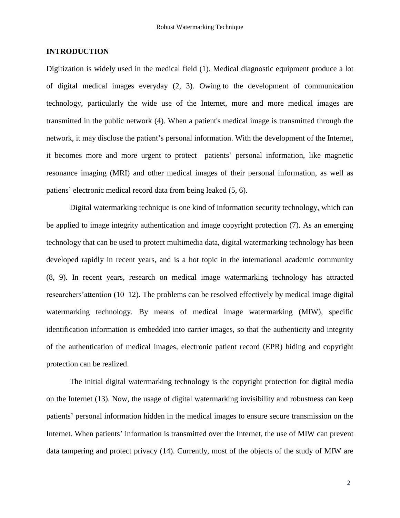# **INTRODUCTION**

Digitization is widely used in the medical field (1). Medical diagnostic equipment produce a lot of digital medical images everyday (2, 3). Owing to the development of communication technology, particularly the wide use of the Internet, more and more medical images are transmitted in the public network (4). When a patient's medical image is transmitted through the network, it may disclose the patient's personal information. With the development of the Internet, it becomes more and more urgent to protect patients' personal information, like magnetic resonance imaging (MRI) and other medical images of their personal information, as well as patiens' electronic medical record data from being leaked (5, 6).

Digital watermarking technique is one kind of information security technology, which can be applied to image integrity authentication and image copyright protection (7). As an emerging technology that can be used to protect multimedia data, digital watermarking technology has been developed rapidly in recent years, and is a hot topic in the international academic community (8, 9). In recent years, research on medical image watermarking technology has attracted researchers'attention (10–12). The problems can be resolved effectively by medical image digital watermarking technology. By means of medical image watermarking (MIW), specific identification information is embedded into carrier images, so that the authenticity and integrity of the authentication of medical images, electronic patient record (EPR) hiding and copyright protection can be realized.

The initial digital watermarking technology is the copyright protection for digital media on the Internet (13). Now, the usage of digital watermarking invisibility and robustness can keep patients' personal information hidden in the medical images to ensure secure transmission on the Internet. When patients' information is transmitted over the Internet, the use of MIW can prevent data tampering and protect privacy (14). Currently, most of the objects of the study of MIW are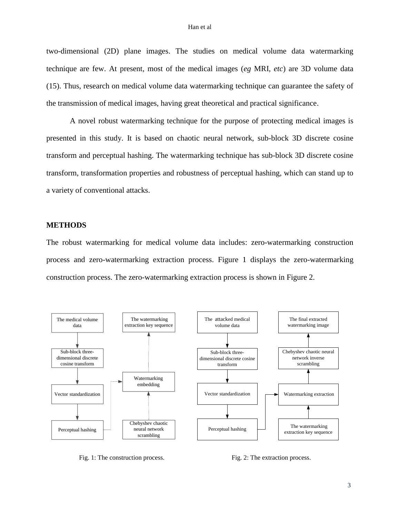#### Han et al

two-dimensional (2D) plane images. The studies on medical volume data watermarking technique are few. At present, most of the medical images (*eg* MRI, *etc*) are 3D volume data (15). Thus, research on medical volume data watermarking technique can guarantee the safety of the transmission of medical images, having great theoretical and practical significance.

A novel robust watermarking technique for the purpose of protecting medical images is presented in this study. It is based on chaotic neural network, sub-block 3D discrete cosine transform and perceptual hashing. The watermarking technique has sub-block 3D discrete cosine transform, transformation properties and robustness of perceptual hashing, which can stand up to a variety of conventional attacks.

## **METHODS**

The robust watermarking for medical volume data includes: zero-watermarking construction process and zero-watermarking extraction process. Figure 1 displays the zero-watermarking construction process. The zero-watermarking extraction process is shown in Figure 2.



Fig. 1: The construction process. Fig. 2: The extraction process.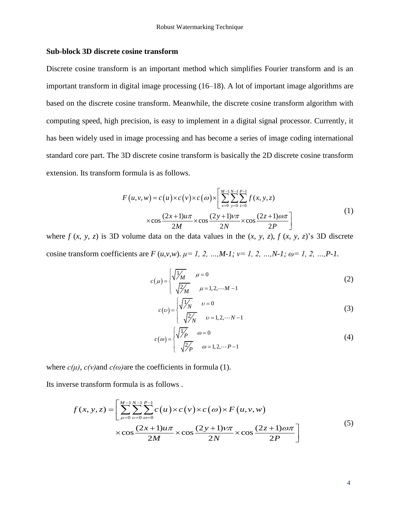## **Sub-block 3D discrete cosine transform**

Discrete cosine transform is an important method which simplifies Fourier transform and is an important transform in digital image processing (16–18). A lot of important image algorithms are based on the discrete cosine transform. Meanwhile, the discrete cosine transform algorithm with computing speed, high precision, is easy to implement in a digital signal processor. Currently, it has been widely used in image processing and has become a series of image coding international standard core part. The 3D discrete cosine transform is basically the 2D discrete cosine transform extension. Its transform formula is as follows.

formula is as follows.  
\n
$$
F(u, v, w) = c(u) \times c(v) \times c(\omega) \times \left[ \sum_{x=0}^{M-1} \sum_{y=0}^{N-1} \sum_{z=0}^{P-1} f(x, y, z) \times \cos \frac{(2x+1)u\pi}{2M} \times \cos \frac{(2y+1)v\pi}{2N} \times \cos \frac{(2z+1)\omega\pi}{2P} \right]
$$
\n(1)

where  $f(x, y, z)$  is 3D volume data on the data values in the  $(x, y, z)$ ,  $f(x, y, z)$ 's 3D discrete cosine transform coefficients are  $F(u,v,w)$ .  $\mu = 1, 2, ..., M-1$ ;  $v = 1, 2, ..., N-1$ ;  $\omega = 1, 2, ..., P-1$ .

$$
c(\mu) = \begin{cases} \sqrt{\frac{1}{M}} & \mu = 0\\ \sqrt{\frac{2}{M}} & \mu = 1, 2, \cdots M - 1 \end{cases}
$$
 (2)

$$
c(\nu) = \begin{cases} \sqrt{\frac{1}{N}} & \nu = 0\\ \sqrt{\frac{2}{N}} & \nu = 1, 2, \cdots N - 1 \end{cases}
$$
 (3)

$$
c(\omega) = \begin{cases} \sqrt{\frac{1}{P}} & \omega = 0\\ \sqrt{\frac{2}{P}} & \omega = 1, 2, \cdots P - 1 \end{cases}
$$
 (4)

where  $c(\mu)$ ,  $c(\nu)$  and  $c(\omega)$  are the coefficients in formula (1).

Its inverse transform formula is as follows .

See transform formula is as follows.

\n
$$
f(x, y, z) = \left[ \sum_{\mu=0}^{M-1} \sum_{\nu=0}^{N-1} \sum_{\omega=0}^{P-1} c(u) \times c(v) \times c(\omega) \times F(u, v, w) \times \cos \frac{(2x+1)u\pi}{2M} \times \cos \frac{(2y+1)v\pi}{2N} \times \cos \frac{(2z+1)\omega\pi}{2P} \right]
$$
\n(5)

4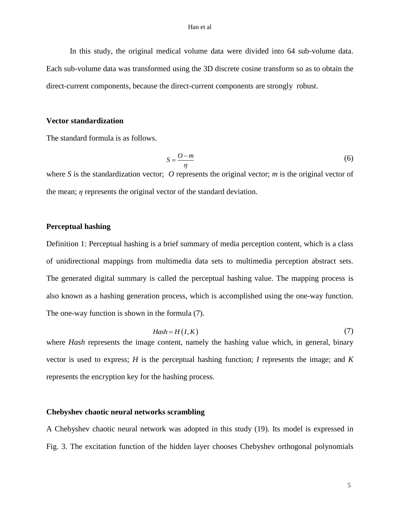In this study, the original medical volume data were divided into 64 sub-volume data. Each sub-volume data was transformed using the 3D discrete cosine transform so as to obtain the direct-current components, because the direct-current components are strongly robust.

#### **Vector standardization**

The standard formula is as follows.

$$
S = \frac{O - m}{\eta} \tag{6}
$$

where *S* is the standardization vector; *O* represents the original vector; *m* is the original vector of the mean; *η* represents the original vector of the standard deviation.

## **Perceptual hashing**

Definition 1: Perceptual hashing is a brief summary of media perception content, which is a class of unidirectional mappings from multimedia data sets to multimedia perception abstract sets. The generated digital summary is called the perceptual hashing value. The mapping process is also known as a hashing generation process, which is accomplished using the one-way function. The one-way function is shown in the formula (7).

$$
Hash = H(I, K) \tag{7}
$$

where *Hash* represents the image content, namely the hashing value which, in general, binary vector is used to express; *H* is the perceptual hashing function; *I* represents the image; and *K* represents the encryption key for the hashing process.

## **Chebyshev chaotic neural networks scrambling**

A Chebyshev chaotic neural network was adopted in this study (19). Its model is expressed in Fig. 3. The excitation function of the hidden layer chooses Chebyshev orthogonal polynomials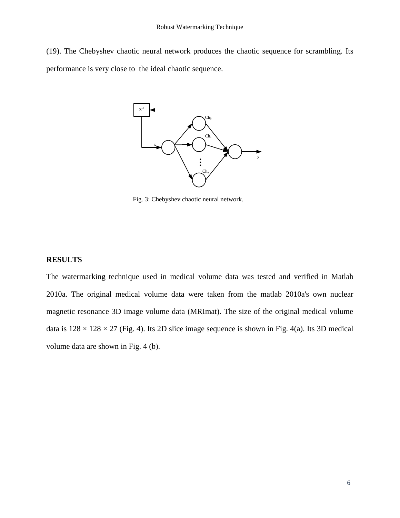(19). The Chebyshev chaotic neural network produces the chaotic sequence for scrambling. Its performance is very close to the ideal chaotic sequence.



Fig. 3: Chebyshev chaotic neural network.

#### **RESULTS**

The watermarking technique used in medical volume data was tested and verified in Matlab 2010a. The original medical volume data were taken from the matlab 2010a's own nuclear magnetic resonance 3D image volume data (MRImat). The size of the original medical volume data is  $128 \times 128 \times 27$  (Fig. 4). Its 2D slice image sequence is shown in Fig. 4(a). Its 3D medical volume data are shown in Fig. 4 (b).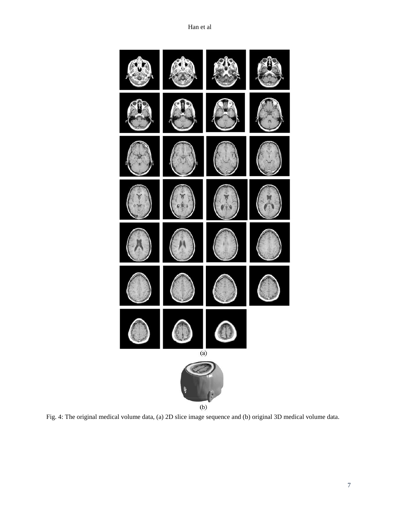

Fig. 4: The original medical volume data, (a) 2D slice image sequence and (b) original 3D medical volume data.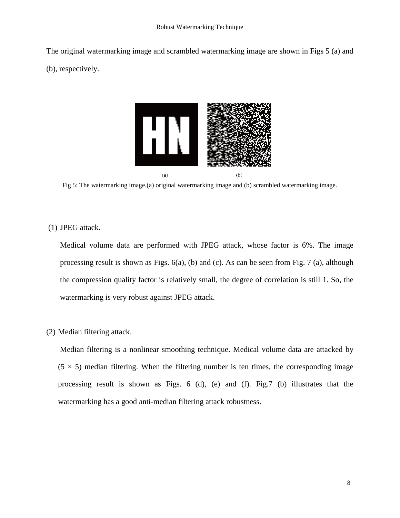The original watermarking image and scrambled watermarking image are shown in Figs 5 (a) and (b), respectively.



Fig 5: The watermarking image.(a) original watermarking image and (b) scrambled watermarking image.

(1) JPEG attack.

Medical volume data are performed with JPEG attack, whose factor is 6%. The image processing result is shown as Figs. 6(a), (b) and (c). As can be seen from Fig. 7 (a), although the compression quality factor is relatively small, the degree of correlation is still 1. So, the watermarking is very robust against JPEG attack.

(2) Median filtering attack.

Median filtering is a nonlinear smoothing technique. Medical volume data are attacked by  $(5 \times 5)$  median filtering. When the filtering number is ten times, the corresponding image processing result is shown as Figs. 6 (d), (e) and (f). Fig.7 (b) illustrates that the watermarking has a good anti-median filtering attack robustness.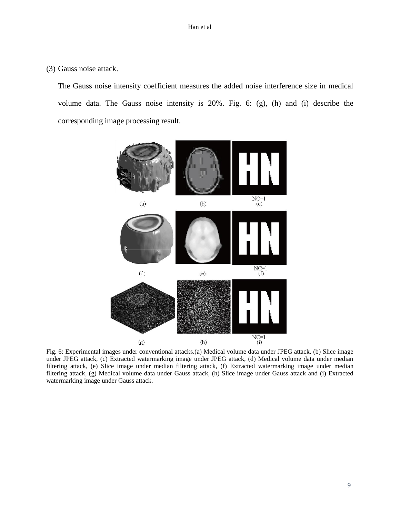(3) Gauss noise attack.

The Gauss noise intensity coefficient measures the added noise interference size in medical volume data. The Gauss noise intensity is 20%. Fig. 6: (g), (h) and (i) describe the corresponding image processing result.



Fig. 6: Experimental images under conventional attacks.(a) Medical volume data under JPEG attack, (b) Slice image under JPEG attack, (c) Extracted watermarking image under JPEG attack, (d) Medical volume data under median filtering attack, (e) Slice image under median filtering attack, (f) Extracted watermarking image under median filtering attack, (g) Medical volume data under Gauss attack, (h) Slice image under Gauss attack and (i) Extracted watermarking image under Gauss attack.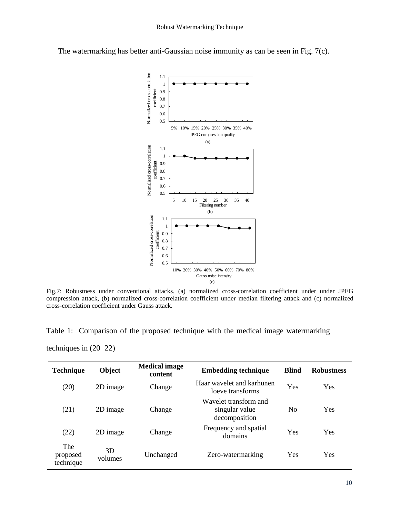

The watermarking has better anti-Gaussian noise immunity as can be seen in Fig. 7(c).

Fig.7: Robustness under conventional attacks. (a) normalized cross-correlation coefficient under under JPEG compression attack, (b) normalized cross-correlation coefficient under median filtering attack and (c) normalized cross-correlation coefficient under Gauss attack.

Table 1: Comparison of the proposed technique with the medical image watermarking

techniques in (20−22)

| <b>Technique</b>             | Object        | <b>Medical image</b><br>content | <b>Embedding technique</b>                               | <b>Blind</b>   | <b>Robustness</b> |
|------------------------------|---------------|---------------------------------|----------------------------------------------------------|----------------|-------------------|
| (20)                         | 2D image      | Change                          | Haar wavelet and karhunen<br>loeve transforms            | Yes            | Yes               |
| (21)                         | 2D image      | Change                          | Wavelet transform and<br>singular value<br>decomposition | N <sub>0</sub> | Yes               |
| (22)                         | 2D image      | Change                          | Frequency and spatial<br>domains                         | Yes            | Yes               |
| The<br>proposed<br>technique | 3D<br>volumes | Unchanged                       | Zero-watermarking                                        | Yes            | Yes               |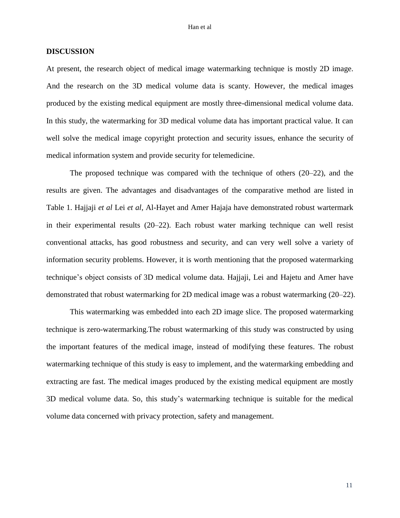### **DISCUSSION**

At present, the research object of medical image watermarking technique is mostly 2D image. And the research on the 3D medical volume data is scanty. However, the medical images produced by the existing medical equipment are mostly three-dimensional medical volume data. In this study, the watermarking for 3D medical volume data has important practical value. It can well solve the medical image copyright protection and security issues, enhance the security of medical information system and provide security for telemedicine.

The proposed technique was compared with the technique of others (20–22), and the results are given. The advantages and disadvantages of the comparative method are listed in Table 1. Hajjaji *et al* Lei *et al*, Al-Hayet and Amer Hajaja have demonstrated robust wartermark in their experimental results (20–22). Each robust water marking technique can well resist conventional attacks, has good robustness and security, and can very well solve a variety of information security problems. However, it is worth mentioning that the proposed watermarking technique's object consists of 3D medical volume data. Hajjaji, Lei and Hajetu and Amer have demonstrated that robust watermarking for 2D medical image was a robust watermarking (20–22).

This watermarking was embedded into each 2D image slice. The proposed watermarking technique is zero-watermarking.The robust watermarking of this study was constructed by using the important features of the medical image, instead of modifying these features. The robust watermarking technique of this study is easy to implement, and the watermarking embedding and extracting are fast. The medical images produced by the existing medical equipment are mostly 3D medical volume data. So, this study's watermarking technique is suitable for the medical volume data concerned with privacy protection, safety and management.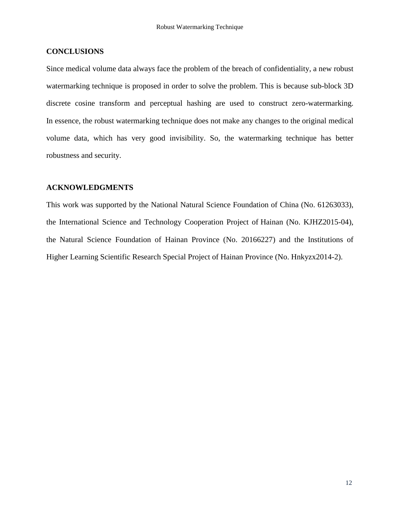# **CONCLUSIONS**

Since medical volume data always face the problem of the breach of confidentiality, a new robust watermarking technique is proposed in order to solve the problem. This is because sub-block 3D discrete cosine transform and perceptual hashing are used to construct zero-watermarking. In essence, the robust watermarking technique does not make any changes to the original medical volume data, which has very good invisibility. So, the watermarking technique has better robustness and security.

# **ACKNOWLEDGMENTS**

This work was supported by the National Natural Science Foundation of China (No. 61263033), the International Science and Technology Cooperation Project of Hainan (No. KJHZ2015-04), the Natural Science Foundation of Hainan Province (No. 20166227) and the Institutions of Higher Learning Scientific Research Special Project of Hainan Province (No. Hnkyzx2014-2).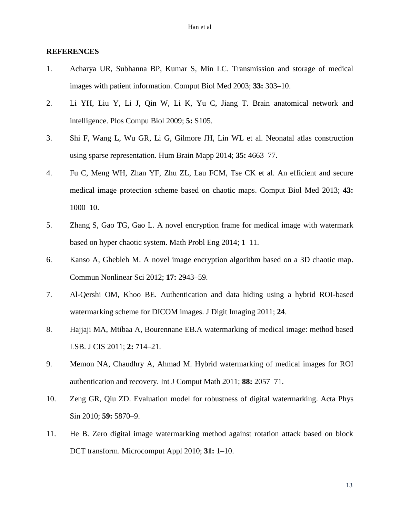## **REFERENCES**

- 1. Acharya UR, Subhanna BP, Kumar S, Min LC. Transmission and storage of medical images with patient information. Comput Biol Med 2003; **33:** 303–10.
- 2. Li YH, Liu Y, Li J, [Qin W,](http://www.ncbi.nlm.nih.gov/pubmed/?term=Qin%20W%5BAuthor%5D&cauthor=true&cauthor_uid=19492086) [Li K,](http://www.ncbi.nlm.nih.gov/pubmed/?term=Li%20K%5BAuthor%5D&cauthor=true&cauthor_uid=19492086) [Yu C,](http://www.ncbi.nlm.nih.gov/pubmed/?term=Yu%20C%5BAuthor%5D&cauthor=true&cauthor_uid=19492086) [Jiang T.](http://www.ncbi.nlm.nih.gov/pubmed/?term=Jiang%20T%5BAuthor%5D&cauthor=true&cauthor_uid=19492086) Brain anatomical network and intelligence. Plos Compu Biol 2009; **5:** S105.
- 3. Shi F, Wang L, Wu GR, Li G, Gilmore JH, Lin WL et al. Neonatal atlas construction using sparse representation. Hum Brain Mapp 2014; **35:** 4663–77.
- 4. Fu C, Meng WH, Zhan YF, Zhu ZL, Lau FCM, Tse CK et al. An efficient and secure medical image protection scheme based on chaotic maps. Comput Biol Med 2013; **43:** 1000–10.
- 5. Zhang S, Gao TG, Gao L. A novel encryption frame for medical image with watermark based on hyper chaotic system. Math Probl Eng 2014; 1–11.
- 6. Kanso A, Ghebleh M. A novel image encryption algorithm based on a 3D chaotic map. Commun Nonlinear Sci 2012; **17:** 2943–59.
- 7. Al-Qershi OM, Khoo BE. Authentication and data hiding using a hybrid ROI-based watermarking scheme for DICOM images. J Digit Imaging 2011; **24**.
- 8. Hajjaji MA, Mtibaa A, Bourennane EB.A watermarking of medical image: method based LSB. J CIS 2011; **2:** 714–21.
- 9. Memon NA, Chaudhry A, Ahmad M. Hybrid watermarking of medical images for ROI authentication and recovery. Int J Comput Math 2011; **88:** 2057–71.
- 10. Zeng GR, Qiu ZD. Evaluation model for robustness of digital watermarking. Acta Phys Sin 2010; **59:** 5870–9.
- 11. He B. Zero digital image watermarking method against rotation attack based on block DCT transform. Microcomput Appl 2010; **31:** 1–10.